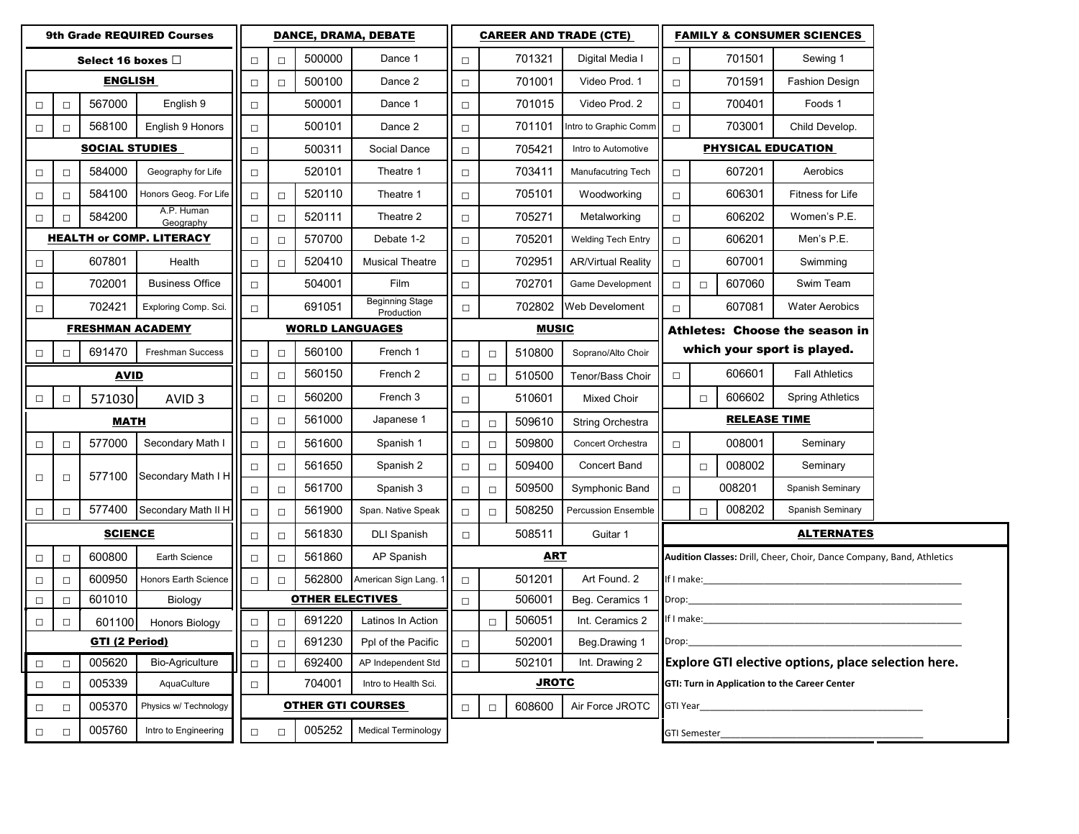| <b>9th Grade REQUIRED Courses</b> |                                           |        |                          |                                          | DANCE, DRAMA, DEBATE |                        |                                      |                    | <b>CAREER AND TRADE (CTE)</b>       |                           |                           |                                                                       | <b>FAMILY &amp; CONSUMER SCIENCES</b>         |                       |                                                                                                                |  |  |
|-----------------------------------|-------------------------------------------|--------|--------------------------|------------------------------------------|----------------------|------------------------|--------------------------------------|--------------------|-------------------------------------|---------------------------|---------------------------|-----------------------------------------------------------------------|-----------------------------------------------|-----------------------|----------------------------------------------------------------------------------------------------------------|--|--|
| Select 16 boxes $\Box$            |                                           |        |                          | $\Box$                                   | $\Box$               | 500000                 | Dance 1                              | $\Box$             |                                     | 701321                    | Digital Media I           | $\Box$                                                                |                                               | 701501                | Sewing 1                                                                                                       |  |  |
| <b>ENGLISH</b>                    |                                           |        | $\Box$                   | $\Box$                                   | 500100               | Dance 2                | $\Box$                               |                    | 701001                              | Video Prod. 1             | $\Box$                    |                                                                       | 701591                                        | <b>Fashion Design</b> |                                                                                                                |  |  |
| $\Box$                            | $\Box$                                    | 567000 | English 9                | $\Box$                                   |                      | 500001                 | Dance 1                              | $\Box$             |                                     | 701015                    | Video Prod. 2             | $\Box$                                                                |                                               | 700401                | Foods 1                                                                                                        |  |  |
| $\Box$                            | $\Box$                                    | 568100 | English 9 Honors         | $\Box$                                   |                      | 500101                 | Dance 2                              | $\Box$             |                                     | 701101                    | ntro to Graphic Comm      | $\Box$                                                                |                                               | 703001                | Child Develop.                                                                                                 |  |  |
| <b>SOCIAL STUDIES</b>             |                                           |        | $\Box$                   | 500311                                   |                      | Social Dance           | $\Box$                               | 705421             |                                     | Intro to Automotive       | <b>PHYSICAL EDUCATION</b> |                                                                       |                                               |                       |                                                                                                                |  |  |
| $\Box$                            | $\Box$                                    | 584000 | Geography for Life       | $\Box$                                   |                      | 520101                 | Theatre 1                            | $\Box$             |                                     | 703411                    | Manufacutring Tech        | $\Box$                                                                |                                               | 607201                | Aerobics                                                                                                       |  |  |
| $\Box$                            | $\Box$                                    | 584100 | Honors Geog. For Life    | $\Box$                                   | $\Box$               | 520110                 | Theatre 1                            | $\Box$             |                                     | 705101                    | Woodworking               | $\Box$                                                                |                                               | 606301                | Fitness for Life                                                                                               |  |  |
| $\Box$                            | $\Box$                                    | 584200 | A.P. Human<br>Geography  | $\Box$                                   | $\Box$               | 520111                 | Theatre 2                            | $\Box$             |                                     | 705271                    | Metalworking              | $\Box$                                                                |                                               | 606202                | Women's P.E.                                                                                                   |  |  |
| <b>HEALTH or COMP. LITERACY</b>   |                                           |        | $\Box$                   | $\Box$                                   | 570700               | Debate 1-2             | $\Box$                               |                    | 705201                              | <b>Welding Tech Entry</b> | $\Box$                    |                                                                       | 606201                                        | Men's P.E.            |                                                                                                                |  |  |
| $\Box$                            |                                           | 607801 | Health                   | $\Box$                                   | $\Box$               | 520410                 | <b>Musical Theatre</b>               | $\Box$             |                                     | 702951                    | <b>AR/Virtual Reality</b> | $\Box$                                                                |                                               | 607001                | Swimming                                                                                                       |  |  |
| $\Box$                            |                                           | 702001 | <b>Business Office</b>   | $\Box$                                   |                      | 504001                 | Film                                 | $\Box$             |                                     | 702701                    | Game Development          | $\Box$                                                                | $\Box$                                        | 607060                | Swim Team                                                                                                      |  |  |
| $\Box$                            |                                           | 702421 | Exploring Comp. Sci.     | $\Box$                                   |                      | 691051                 | <b>Beginning Stage</b><br>Production | $\Box$             |                                     | 702802                    | Web Develoment            | $\Box$                                                                |                                               | 607081                | <b>Water Aerobics</b>                                                                                          |  |  |
| <b>FRESHMAN ACADEMY</b>           |                                           |        |                          | <b>WORLD LANGUAGES</b>                   |                      |                        |                                      | <b>MUSIC</b>       |                                     |                           |                           | Athletes: Choose the season in                                        |                                               |                       |                                                                                                                |  |  |
| $\Box$                            | $\Box$                                    | 691470 | <b>Freshman Success</b>  | $\Box$                                   | $\Box$               | 560100                 | French 1                             | $\Box$             | $\Box$                              | 510800                    | Soprano/Alto Choir        |                                                                       |                                               |                       | which your sport is played.                                                                                    |  |  |
| <b>AVID</b>                       |                                           |        |                          | $\Box$                                   | $\Box$               | 560150                 | French 2                             | $\Box$             | $\Box$                              | 510500                    | Tenor/Bass Choir          | $\Box$                                                                |                                               | 606601                | <b>Fall Athletics</b>                                                                                          |  |  |
| $\Box$                            | $\Box$                                    | 571030 | AVID <sub>3</sub>        | $\Box$                                   | $\Box$               | 560200                 | French 3                             | $\Box$             |                                     | 510601                    | Mixed Choir               |                                                                       | $\Box$                                        | 606602                | <b>Spring Athletics</b>                                                                                        |  |  |
| MATH                              |                                           |        | $\Box$                   | $\Box$                                   | 561000               | Japanese 1             | $\Box$                               | $\Box$             | 509610                              | <b>String Orchestra</b>   | <b>RELEASE TIME</b>       |                                                                       |                                               |                       |                                                                                                                |  |  |
| $\Box$                            | $\Box$                                    | 577000 | Secondary Math I         | $\Box$                                   | $\Box$               | 561600                 | Spanish 1                            | $\Box$             | $\Box$                              | 509800                    | Concert Orchestra         | $\Box$                                                                |                                               | 008001                | Seminary                                                                                                       |  |  |
| $\Box$                            | $\Box$                                    | 577100 | Secondary Math I H       | $\Box$                                   | $\Box$               | 561650                 | Spanish 2                            | $\Box$             | $\Box$                              | 509400                    | <b>Concert Band</b>       |                                                                       | $\Box$                                        | 008002                | Seminary                                                                                                       |  |  |
|                                   |                                           |        |                          | $\Box$                                   | $\Box$               | 561700                 | Spanish 3                            | $\Box$             | $\Box$                              | 509500                    | Symphonic Band            | $\Box$                                                                |                                               | 008201                | Spanish Seminary                                                                                               |  |  |
| $\Box$                            | $\Box$                                    | 577400 | Secondary Math II H      | $\Box$                                   | $\Box$               | 561900                 | Span. Native Speak                   | $\Box$             | $\Box$                              | 508250                    | Percussion Ensemble       |                                                                       | $\Box$                                        | 008202                | Spanish Seminary                                                                                               |  |  |
| <b>SCIENCE</b>                    |                                           |        | $\Box$                   | $\Box$                                   | 561830               | <b>DLI Spanish</b>     | $\Box$                               | 508511<br>Guitar 1 |                                     |                           | <b>ALTERNATES</b>         |                                                                       |                                               |                       |                                                                                                                |  |  |
| $\Box$                            | $\Box$                                    | 600800 | Earth Science            | $\Box$                                   | $\Box$               | 561860                 | AP Spanish                           |                    |                                     | <u>ART</u>                |                           | Audition Classes: Drill, Cheer, Choir, Dance Company, Band, Athletics |                                               |                       |                                                                                                                |  |  |
| $\Box$                            | $\Box$                                    | 600950 | Honors Earth Science     | $\Box$                                   | $\Box$               | 562800                 | American Sign Lang. 1                | $\Box$             | 501201<br>Art Found. 2              |                           |                           |                                                                       |                                               |                       | If I make: the contract of the contract of the contract of the contract of the contract of the contract of the |  |  |
| $\Box$                            | $\Box$                                    | 601010 | Biology                  |                                          |                      | <b>OTHER ELECTIVES</b> |                                      | 506001<br>$\Box$   |                                     |                           | Beg. Ceramics 1           | Drop:                                                                 |                                               |                       |                                                                                                                |  |  |
| $\Box$                            | $\Box$                                    | 601100 | Honors Biology           | $\Box$                                   | $\Box$               | 691220                 | Latinos In Action                    |                    | 506051<br>Int. Ceramics 2<br>$\Box$ |                           |                           |                                                                       | If I make:                                    |                       |                                                                                                                |  |  |
| <b>GTI (2 Period)</b>             |                                           |        |                          | $\Box$                                   | $\Box$               | 691230                 | Ppl of the Pacific                   | $\Box$             |                                     | 502001                    | Beg.Drawing 1             | Drop:                                                                 |                                               |                       |                                                                                                                |  |  |
| $\Box$                            | $\Box$                                    | 005620 | <b>Bio-Agriculture</b>   | $\Box$                                   | $\Box$               | 692400                 | AP Independent Std                   | $\Box$             |                                     | 502101                    | Int. Drawing 2            | Explore GTI elective options, place selection here.                   |                                               |                       |                                                                                                                |  |  |
| $\Box$                            | 005339<br>AquaCulture<br>$\Box$           |        |                          | 704001<br>Intro to Health Sci.<br>$\Box$ |                      |                        |                                      |                    | <b>JROTC</b>                        |                           |                           |                                                                       | GTI: Turn in Application to the Career Center |                       |                                                                                                                |  |  |
| $\Box$                            | 005370<br>Physics w/ Technology<br>$\Box$ |        | <b>OTHER GTI COURSES</b> |                                          |                      | $\Box$                 | $\Box$                               | 608600             | Air Force JROTC                     | GTI Year                  |                           |                                                                       |                                               |                       |                                                                                                                |  |  |
| $\Box$                            | $\Box$                                    | 005760 | Intro to Engineering     | $\Box$                                   | $\Box$               | 005252                 | <b>Medical Terminology</b>           |                    |                                     |                           |                           |                                                                       | <b>GTI Semester</b>                           |                       |                                                                                                                |  |  |